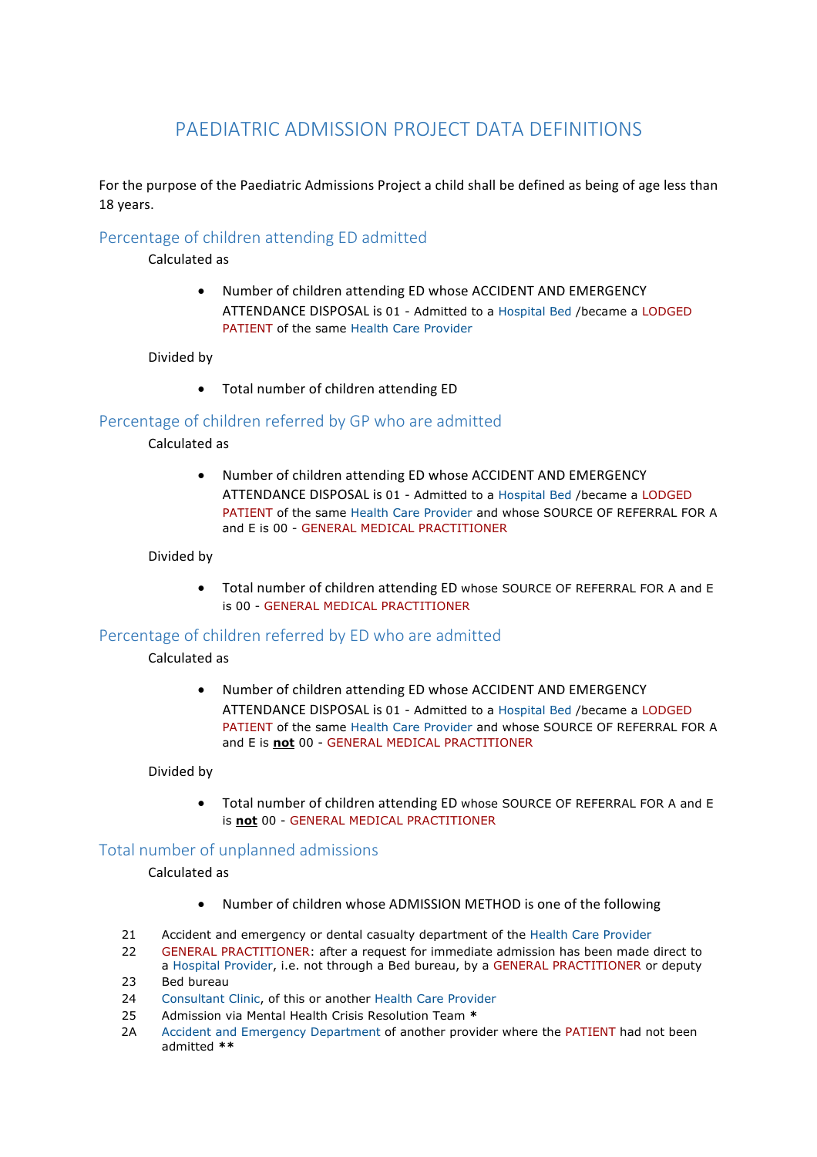# PAEDIATRIC ADMISSION PROJECT DATA DEFINITIONS

For the purpose of the Paediatric Admissions Project a child shall be defined as being of age less than 18 years.

## Percentage of children attending ED admitted

Calculated as

Number of children attending ED whose ACCIDENT AND EMERGENCY ATTENDANCE DISPOSAL is 01 - Admitted to a Hospital Bed /became a LODGED PATIENT of the same Health Care Provider

#### Divided by

• Total number of children attending ED

## Percentage of children referred by GP who are admitted

Calculated as

Number of children attending ED whose ACCIDENT AND EMERGENCY ATTENDANCE DISPOSAL is 01 - Admitted to a Hospital Bed /became a LODGED PATIENT of the same Health Care Provider and whose SOURCE OF REFERRAL FOR A and E is 00 - GENERAL MEDICAL PRACTITIONER

#### Divided by

• Total number of children attending ED whose SOURCE OF REFERRAL FOR A and E is 00 - GENERAL MEDICAL PRACTITIONER

### Percentage of children referred by ED who are admitted

## Calculated as

Number of children attending ED whose ACCIDENT AND EMERGENCY ATTENDANCE DISPOSAL is 01 - Admitted to a Hospital Bed /became a LODGED PATIENT of the same Health Care Provider and whose SOURCE OF REFERRAL FOR A and E is **not** 00 - GENERAL MEDICAL PRACTITIONER

#### Divided by

• Total number of children attending ED whose SOURCE OF REFERRAL FOR A and E is **not** 00 - GENERAL MEDICAL PRACTITIONER

## Total number of unplanned admissions

## Calculated as

- Number of children whose ADMISSION METHOD is one of the following
- 21 Accident and emergency or dental casualty department of the Health Care Provider
- 22 GENERAL PRACTITIONER: after a request for immediate admission has been made direct to a Hospital Provider, i.e. not through a Bed bureau, by a GENERAL PRACTITIONER or deputy 23 Bed bureau
- 
- 24 Consultant Clinic, of this or another Health Care Provider
- 25 Admission via Mental Health Crisis Resolution Team **\***
- 2A Accident and Emergency Department of another provider where the PATIENT had not been admitted **\*\***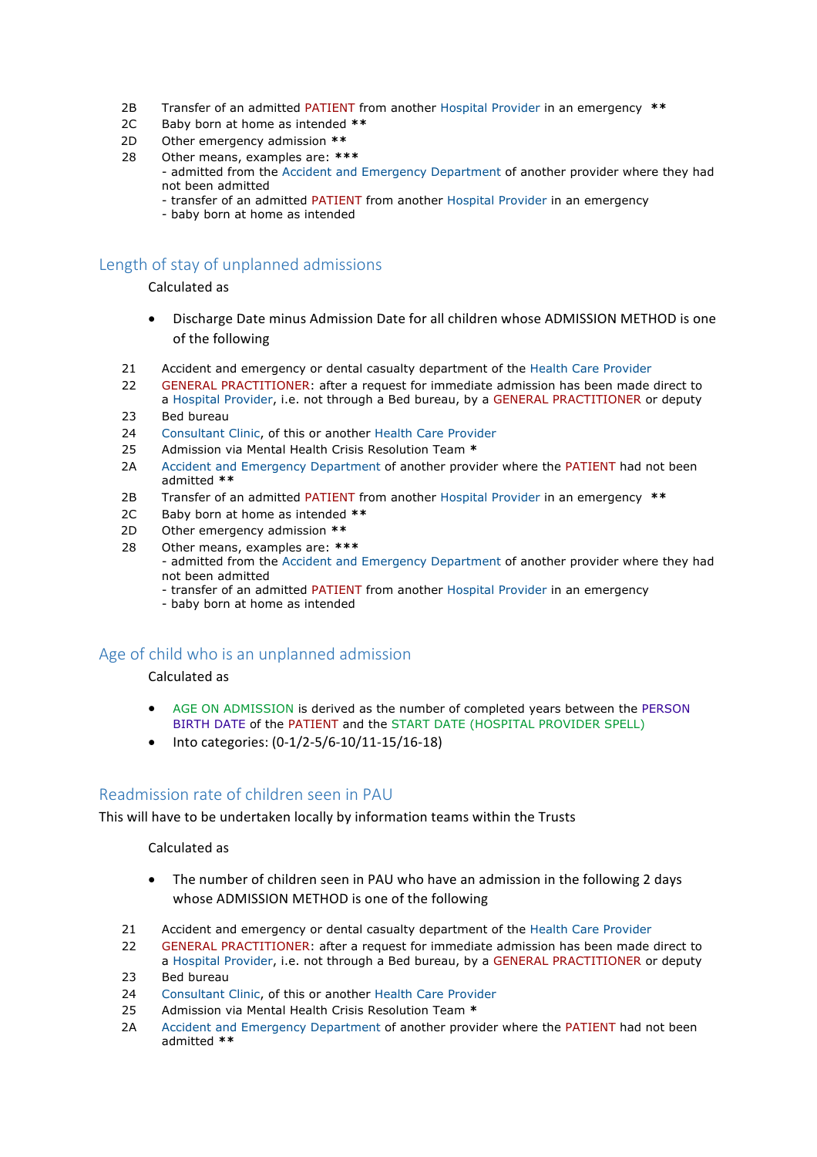- 2B Transfer of an admitted PATIENT from another Hospital Provider in an emergency **\*\***
- 2C Baby born at home as intended **\*\***
- 2D Other emergency admission **\*\***
- 28 Other means, examples are: **\*\*\***
	- admitted from the Accident and Emergency Department of another provider where they had not been admitted
		- transfer of an admitted PATIENT from another Hospital Provider in an emergency
		- baby born at home as intended

## Length of stay of unplanned admissions

Calculated as

- Discharge Date minus Admission Date for all children whose ADMISSION METHOD is one of the following
- 21 Accident and emergency or dental casualty department of the Health Care Provider
- 22 GENERAL PRACTITIONER: after a request for immediate admission has been made direct to a Hospital Provider, i.e. not through a Bed bureau, by a GENERAL PRACTITIONER or deputy
- 23 Bed bureau
- 24 Consultant Clinic, of this or another Health Care Provider
- 25 Admission via Mental Health Crisis Resolution Team **\***
- 2A Accident and Emergency Department of another provider where the PATIENT had not been admitted **\*\***
- 2B Transfer of an admitted PATIENT from another Hospital Provider in an emergency **\*\***
- 2C Baby born at home as intended **\*\***
- 2D Other emergency admission **\*\***
- 28 Other means, examples are: **\*\*\***
	- admitted from the Accident and Emergency Department of another provider where they had not been admitted
		- transfer of an admitted PATIENT from another Hospital Provider in an emergency
		- baby born at home as intended

### Age of child who is an unplanned admission

Calculated as

- AGE ON ADMISSION is derived as the number of completed years between the PERSON BIRTH DATE of the PATIENT and the START DATE (HOSPITAL PROVIDER SPELL)
- Into categories: (0-1/2-5/6-10/11-15/16-18)

### Readmission rate of children seen in PAU

This will have to be undertaken locally by information teams within the Trusts

#### Calculated as

- The number of children seen in PAU who have an admission in the following 2 days whose ADMISSION METHOD is one of the following
- 21 Accident and emergency or dental casualty department of the Health Care Provider
- 22 GENERAL PRACTITIONER: after a request for immediate admission has been made direct to a Hospital Provider, i.e. not through a Bed bureau, by a GENERAL PRACTITIONER or deputy
- 23 Bed bureau
- 24 Consultant Clinic, of this or another Health Care Provider
- 25 Admission via Mental Health Crisis Resolution Team **\***
- 2A Accident and Emergency Department of another provider where the PATIENT had not been admitted **\*\***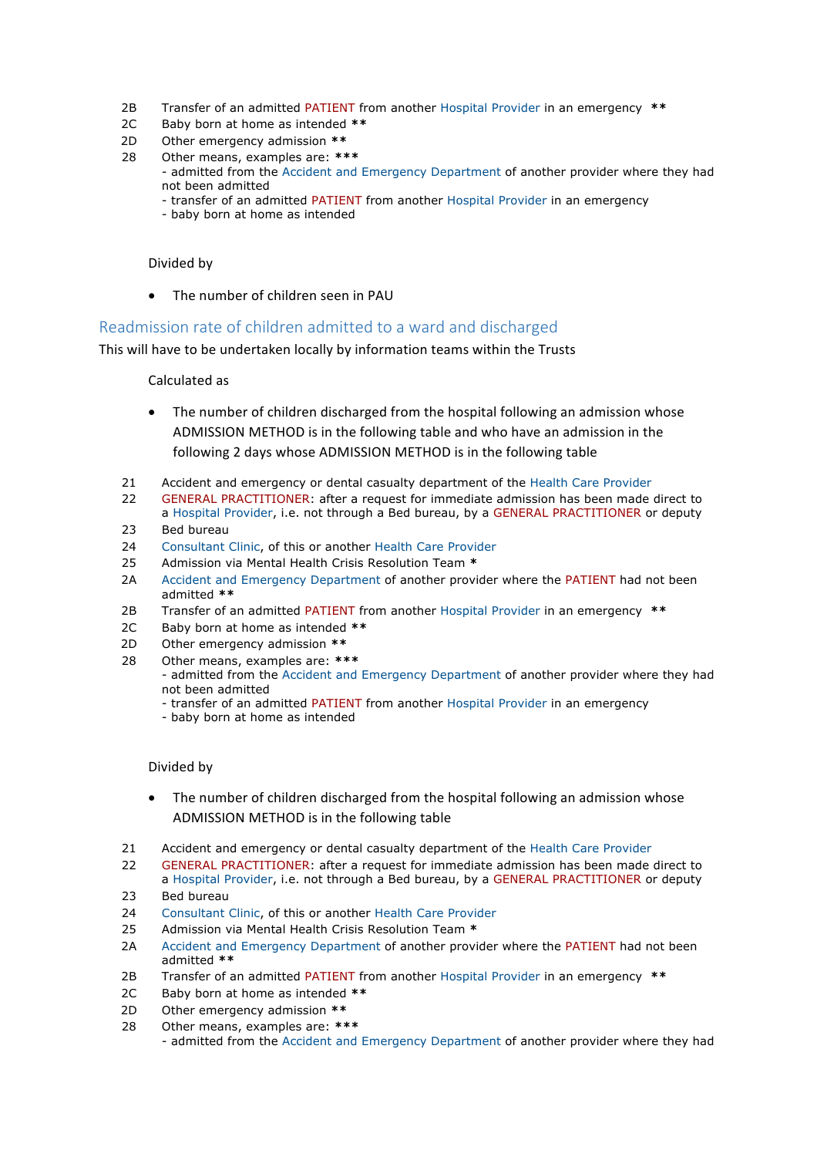- 2B Transfer of an admitted PATIENT from another Hospital Provider in an emergency **\*\***
- 2C Baby born at home as intended **\*\***
- 2D Other emergency admission **\*\***
- 28 Other means, examples are: **\*\*\*** - admitted from the Accident and Emergency Department of another provider where they had not been admitted
	- transfer of an admitted PATIENT from another Hospital Provider in an emergency
	- baby born at home as intended

#### Divided by

 $\bullet$  The number of children seen in PAU

## Readmission rate of children admitted to a ward and discharged

This will have to be undertaken locally by information teams within the Trusts

#### Calculated as

- The number of children discharged from the hospital following an admission whose ADMISSION METHOD is in the following table and who have an admission in the following 2 days whose ADMISSION METHOD is in the following table
- 21 Accident and emergency or dental casualty department of the Health Care Provider
- 22 GENERAL PRACTITIONER: after a request for immediate admission has been made direct to a Hospital Provider, i.e. not through a Bed bureau, by a GENERAL PRACTITIONER or deputy
- 23 Bed bureau
- 24 Consultant Clinic, of this or another Health Care Provider
- 25 Admission via Mental Health Crisis Resolution Team **\***
- 2A Accident and Emergency Department of another provider where the PATIENT had not been admitted **\*\***
- 2B Transfer of an admitted PATIENT from another Hospital Provider in an emergency **\*\***
- 2C Baby born at home as intended **\*\***
- 2D Other emergency admission **\*\***
- 28 Other means, examples are: **\*\*\***
	- admitted from the Accident and Emergency Department of another provider where they had not been admitted
		- transfer of an admitted PATIENT from another Hospital Provider in an emergency
		- baby born at home as intended

#### Divided by

- The number of children discharged from the hospital following an admission whose ADMISSION METHOD is in the following table
- 21 Accident and emergency or dental casualty department of the Health Care Provider
- 22 GENERAL PRACTITIONER: after a request for immediate admission has been made direct to a Hospital Provider, i.e. not through a Bed bureau, by a GENERAL PRACTITIONER or deputy
- 23 Bed bureau
- 24 Consultant Clinic, of this or another Health Care Provider
- 25 Admission via Mental Health Crisis Resolution Team **\***
- 2A Accident and Emergency Department of another provider where the PATIENT had not been admitted **\*\***
- 2B Transfer of an admitted PATIENT from another Hospital Provider in an emergency **\*\***
- 2C Baby born at home as intended **\*\***
- 2D Other emergency admission **\*\***
- 28 Other means, examples are: **\*\*\*** - admitted from the Accident and Emergency Department of another provider where they had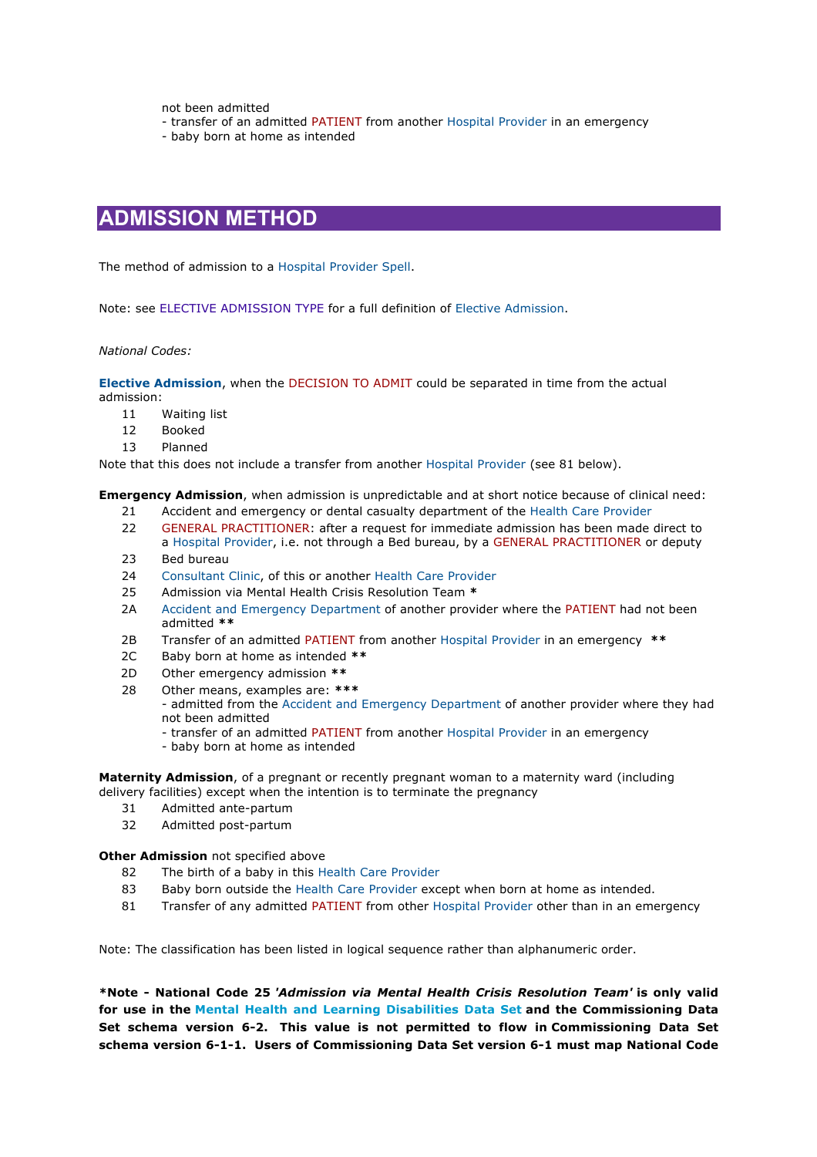not been admitted

- transfer of an admitted PATIENT from another Hospital Provider in an emergency

- baby born at home as intended

## **ADMISSION METHOD**

The method of admission to a Hospital Provider Spell.

Note: see ELECTIVE ADMISSION TYPE for a full definition of Elective Admission.

*National Codes:*

**Elective Admission**, when the DECISION TO ADMIT could be separated in time from the actual admission:

- 11 Waiting list
- 12 Booked
- 13 Planned

Note that this does not include a transfer from another Hospital Provider (see 81 below).

**Emergency Admission**, when admission is unpredictable and at short notice because of clinical need:

- 21 Accident and emergency or dental casualty department of the Health Care Provider
- 22 GENERAL PRACTITIONER: after a request for immediate admission has been made direct to a Hospital Provider, i.e. not through a Bed bureau, by a GENERAL PRACTITIONER or deputy
- 23 Bed bureau
- 24 Consultant Clinic, of this or another Health Care Provider
- 25 Admission via Mental Health Crisis Resolution Team **\***
- 2A Accident and Emergency Department of another provider where the PATIENT had not been admitted **\*\***
- 2B Transfer of an admitted PATIENT from another Hospital Provider in an emergency **\*\***
- 2C Baby born at home as intended **\*\***
- 2D Other emergency admission **\*\***
- 28 Other means, examples are: **\*\*\***

- admitted from the Accident and Emergency Department of another provider where they had not been admitted

- transfer of an admitted PATIENT from another Hospital Provider in an emergency
- baby born at home as intended

**Maternity Admission**, of a pregnant or recently pregnant woman to a maternity ward (including delivery facilities) except when the intention is to terminate the pregnancy

- 31 Admitted ante-partum
- 32 Admitted post-partum

#### **Other Admission** not specified above

- 82 The birth of a baby in this Health Care Provider
- 83 Baby born outside the Health Care Provider except when born at home as intended.
- 81 Transfer of any admitted PATIENT from other Hospital Provider other than in an emergency

Note: The classification has been listed in logical sequence rather than alphanumeric order.

**\*Note - National Code 25** *'Admission via Mental Health Crisis Resolution Team'* **is only valid for use in the Mental Health and Learning Disabilities Data Set and the Commissioning Data Set schema version 6-2. This value is not permitted to flow in Commissioning Data Set schema version 6-1-1. Users of Commissioning Data Set version 6-1 must map National Code**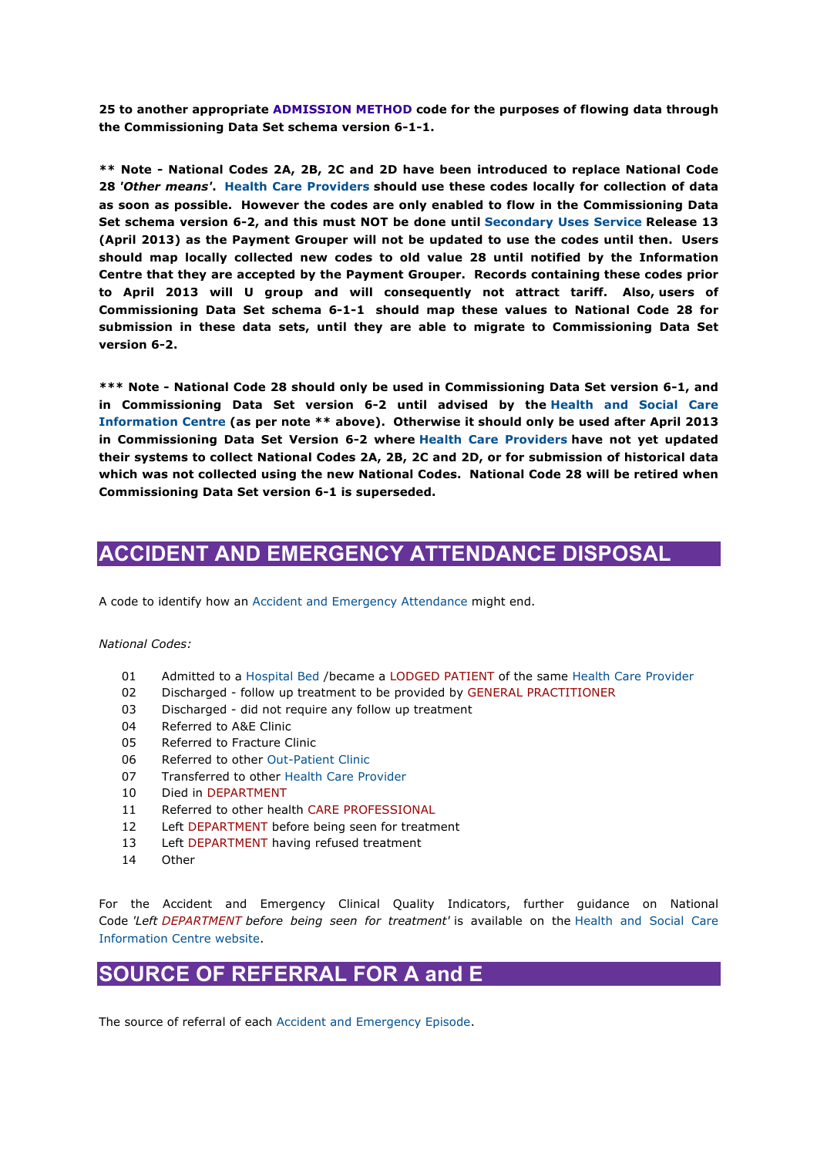**25 to another appropriate ADMISSION METHOD code for the purposes of flowing data through the Commissioning Data Set schema version 6-1-1.**

**\*\* Note - National Codes 2A, 2B, 2C and 2D have been introduced to replace National Code 28** *'Other means'***. Health Care Providers should use these codes locally for collection of data as soon as possible. However the codes are only enabled to flow in the Commissioning Data Set schema version 6-2, and this must NOT be done until Secondary Uses Service Release 13 (April 2013) as the Payment Grouper will not be updated to use the codes until then. Users should map locally collected new codes to old value 28 until notified by the Information Centre that they are accepted by the Payment Grouper. Records containing these codes prior to April 2013 will U group and will consequently not attract tariff. Also, users of Commissioning Data Set schema 6-1-1 should map these values to National Code 28 for submission in these data sets, until they are able to migrate to Commissioning Data Set version 6-2.**

**\*\*\* Note - National Code 28 should only be used in Commissioning Data Set version 6-1, and in Commissioning Data Set version 6-2 until advised by the Health and Social Care Information Centre (as per note \*\* above). Otherwise it should only be used after April 2013 in Commissioning Data Set Version 6-2 where Health Care Providers have not yet updated their systems to collect National Codes 2A, 2B, 2C and 2D, or for submission of historical data which was not collected using the new National Codes. National Code 28 will be retired when Commissioning Data Set version 6-1 is superseded.**

# **ACCIDENT AND EMERGENCY ATTENDANCE DISPOSAL**

A code to identify how an Accident and Emergency Attendance might end.

#### *National Codes:*

- 01 Admitted to a Hospital Bed /became a LODGED PATIENT of the same Health Care Provider
- 02 Discharged follow up treatment to be provided by GENERAL PRACTITIONER
- 03 Discharged did not require any follow up treatment
- 04 Referred to A&E Clinic
- 05 Referred to Fracture Clinic
- 06 Referred to other Out-Patient Clinic
- 07 Transferred to other Health Care Provider
- 10 Died in DEPARTMENT
- 11 Referred to other health CARE PROFESSIONAL
- 12 Left DEPARTMENT before being seen for treatment
- 13 Left DEPARTMENT having refused treatment
- 14 Other

For the Accident and Emergency Clinical Quality Indicators, further guidance on National Code *'Left DEPARTMENT before being seen for treatment'* is available on the Health and Social Care Information Centre website.

## **SOURCE OF REFERRAL FOR A and E**

The source of referral of each Accident and Emergency Episode.